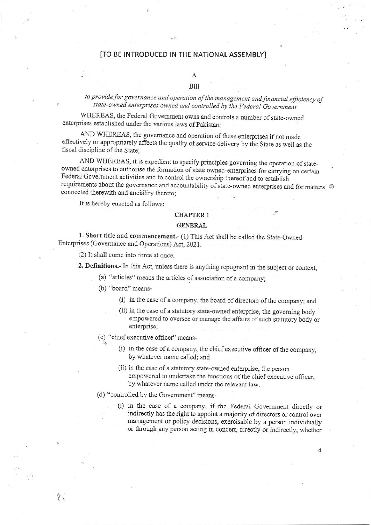## [TO BE INTRODUCED IN THE NATIONAL ASSEMBLY]

# A

# Bill

to provide for governance and operation of the management and financial efficiency of state-owned enterprises owned and controlled by the Federal Government

WHEREAS, the Federal Government owns and controls a number of state-owned enterprises established under the various laws of Pakistan:

AND WHEREAS, the governance and operation of these enterprises if not made effectively or appropriately affects the quality of service delivery by the State as well as the fiscal discipline of the State:

AND WHEREAS, it is expedient to specify principles governing the operation of stateowned enterprises to authorise the formation of state owned-enterprises for carrying on certain Federal Government activities and to control the ownership thereof and to establish requirements about the governance and accountability of state-owned enterprises and for matters  $\otimes$ connected therewith and ancialiry thereto;

It is hereby enacted as follows:

# **CHAPTER 1**

# **GENERAL**

1. Short title and commencement.- (1) This Act shall be called the State-Owned Enterprises (Governance and Operations) Act, 2021.

(2) It shall come into force at once.

2. Definitions.- In this Act, unless there is anything repugnant in the subject or context,

- (a) "articles" means the articles of association of a company;
- (b) "board" means-

 $\gamma_{\rm k}$ 

- (i) in the case of a company, the board of directors of the company; and
- (ii) in the case of a statutory state-owned enterprise, the governing body empowered to oversee or manage the affairs of such statutory body or enterprise;
- (c) "chief executive officer" means-
	- (i) in the case of a company, the chief executive officer of the company, by whatever name called; and
	- (ii) in the case of a statutory state-owned enterprise, the person empowered to undertake the functions of the chief executive officer, by whatever name called under the relevant law.
- (d) "controlled by the Government" means-
	- (i) in the case of a company, if the Federal Government directly or indirectly has the right to appoint a majority of directors or control over management or policy decisions, exercisable by a person individually or through any person acting in concert, directly or indirectly, whether

4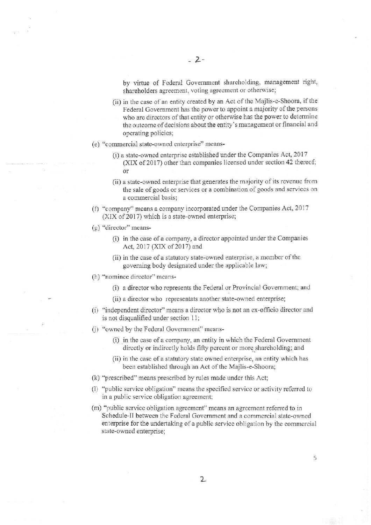by virtue of Federal Government shareholding, management right, shareholders agreement, voting agreement or otherwise;

- (ii) in the case of an entity created by an Act of the Majlis-e-Shoora, if the Federal Government has the power to appoint a majority of the persons who are directors of that entity or otherwise has the power to determine the outcome of decisions about the entity's management or financial and operating policies;
- (e) "commercial state-owned enterprise" means-
	- (i) a state-owned enterprise established under the Companies Act, 2017 (XIX of 2017) other than companies licensed under section 42 thereof;  $\alpha$ <sup>r</sup>
	- (ii) a state-owned enterprise that generates the majority of its revenue from the sale of goods or services or a combination of goods and services on a commercial basis:
- (f) "company" means a company incorporated under the Companies Act, 2017 (XIX of 2017) which is a state-owned enterprise;
- $(g)$  "director" means-
	- (i) in the case of a company, a director appointed under the Companies Act, 2017 (XIX of 2017) and
	- (ii) in the case of a statutory state-owned enterprise, a member of the governing body designated under the applicable law;
- (h) "nominee director" means-
	- (i) a director who represents the Federal or Provincial Government; and
	- (ii) a director who representats another state-owned enterprise;
- (i) "independent director" means a director who is not an ex-officio director and is not disqualified under section 11;
- (i) "owned by the Federal Government" means-
	- (i) in the case of a company, an entity in which the Federal Government directly or indirectly holds fifty percent or more shareholding; and
	- (ii) in the case of a statutory state owned enterprise, an entity which has been established through an Act of the Majlis-e-Shoora;
- (k) "prescribed" means prescribed by rules made under this Act;
- (1) "public service obligation" means the specified service or activity referred to in a public service obligation agreement;
- (m) "public service obligation agreement" means an agreement referred to in Schedule-II between the Federal Government and a commercial state-owned enterprise for the undertaking of a public service obligation by the commercial state-owned enterprise;

 $\overline{2}$ 

5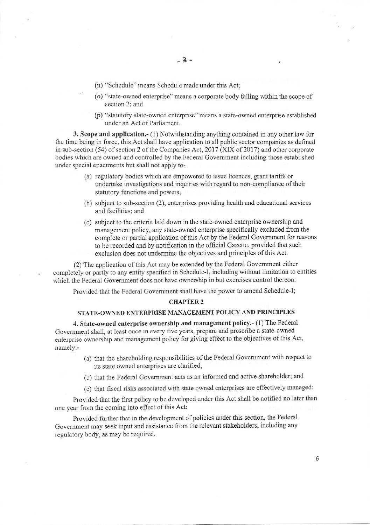- $-3-$
- (n) "Schedule" means Schedule made under this Act;
- (o) "state-owned enterprise" means a corporate body falling within the scope of section 2: and
- (p) "statutory state-owned enterprise" means a state-owned enterprise established under an Act of Parliament.

3. Scope and application.- (1) Notwithstanding anything contained in any other law for the time being in force, this Act shall have application to all public sector companies as defined in sub-section (54) of section 2 of the Companies Act, 2017 (XIX of 2017) and other corporate bodies which are owned and controlled by the Federal Government including those established under special enactments but shall not apply to-

- (a) regulatory bodies which are empowered to issue licences, grant tariffs or undertake investigations and inquiries with regard to non-compliance of their statutory functions and powers;
- (b) subject to sub-section (2), enterprises providing health and educational services and facilities: and
- (c) subject to the criteria laid down in the state-owned enterprise ownership and management policy, any state-owned enterprise specifically excluded from the complete or partial application of this Act by the Federal Government for reasons to be recorded and by notification in the official Gazette, provided that such exclusion does not undermine the objectives and principles of this Act.

(2) The application of this Act may be extended by the Federal Government either completely or partly to any entity specified in Schedule-I, including without limitation to entities which the Federal Government does not have ownership in but exercises control thereon:

Provided that the Federal Government shall have the power to amend Schedule-I;

#### **CHAPTER 2**

# STATE-OWNED ENTERPRISE MANAGEMENT POLICY AND PRINCIPLES

4. State-owned enterprise ownership and management policy.- (1) The Federal Government shall, at least once in every five years, prepare and prescribe a state-owned enterprise ownership and management policy for giving effect to the objectives of this Act, namely:-

- (a) that the shareholding responsibilities of the Federal Government with respect to its state owned enterprises are clarified;
- (b) that the Federal Government acts as an informed and active shareholder; and
- (c) that fiscal risks associated with state owned enterprises are effectively managed:

Provided that the first policy to be developed under this Act shall be notified no later than one year from the coming into effect of this Act:

Provided further that in the development of policies under this section, the Federal Government may seek input and assistance from the relevant stakeholders, including any regulatory body, as may be required.